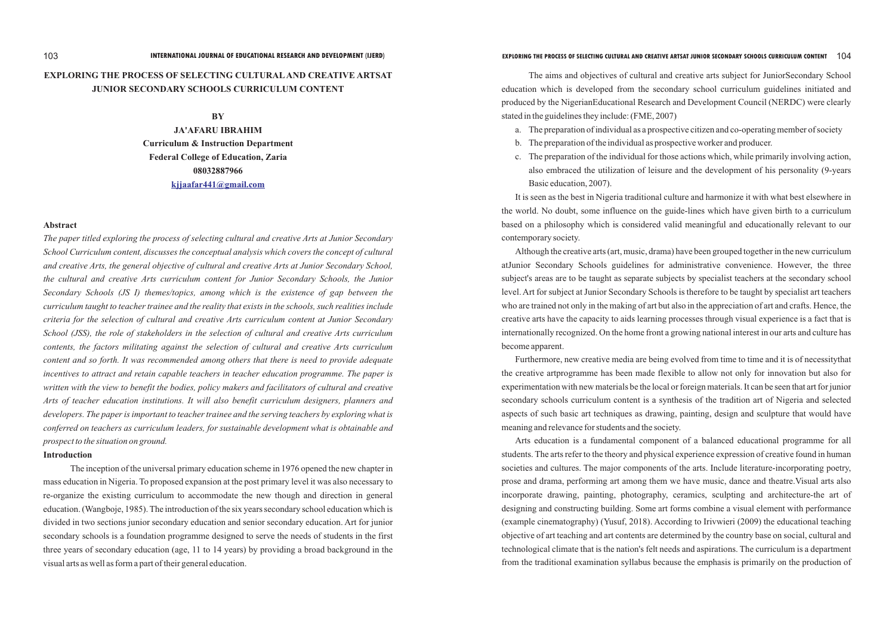# **EXPLORING THE PROCESS OF SELECTING CULTURALAND CREATIVE ARTSAT JUNIOR SECONDARY SCHOOLS CURRICULUM CONTENT**

#### **BY**

#### **Abstract**

*The paper titled exploring the process of selecting cultural and creative Arts at Junior Secondary School Curriculum content, discusses the conceptual analysis which covers the concept of cultural and creative Arts, the general objective of cultural and creative Arts at Junior Secondary School, the cultural and creative Arts curriculum content for Junior Secondary Schools, the Junior Secondary Schools (JS I) themes/topics, among which is the existence of gap between the curriculum taught to teacher trainee and the reality that exists in the schools, such realities include criteria for the selection of cultural and creative Arts curriculum content at Junior Secondary School (JSS), the role of stakeholders in the selection of cultural and creative Arts curriculum contents, the factors militating against the selection of cultural and creative Arts curriculum content and so forth. It was recommended among others that there is need to provide adequate incentives to attract and retain capable teachers in teacher education programme. The paper is written with the view to benefit the bodies, policy makers and facilitators of cultural and creative Arts of teacher education institutions. It will also benefit curriculum designers, planners and developers. The paper is important to teacher trainee and the serving teachers by exploring what is conferred on teachers as curriculum leaders, for sustainable development what is obtainable and prospect to the situation on ground.*

**JA'AFARU IBRAHIM Curriculum & Instruction Department Federal College of Education, Zaria 08032887966 [kjjaafar441@gmail.com](mailto:kjjaafar441@gmail.com)**

### **Introduction**

The inception of the universal primary education scheme in 1976 opened the new chapter in mass education in Nigeria. To proposed expansion at the post primary level it was also necessary to re-organize the existing curriculum to accommodate the new though and direction in general education. (Wangboje, 1985). The introduction of the six years secondary school education which is divided in two sections junior secondary education and senior secondary education. Art for junior secondary schools is a foundation programme designed to serve the needs of students in the first three years of secondary education (age, 11 to 14 years) by providing a broad background in the visual arts as well as form a part of their general education.

The aims and objectives of cultural and creative arts subject for JuniorSecondary School education which is developed from the secondary school curriculum guidelines initiated and produced by the NigerianEducational Research and Development Council (NERDC) were clearly stated in the guidelines they include: (FME, 2007)

a. The preparation of individual as a prospective citizen and co-operating member of society

- 
- b. The preparation of the individual as prospective worker and producer.
- Basic education, 2007).

c. The preparation of the individual for those actions which, while primarily involving action, also embraced the utilization of leisure and the development of his personality (9-years

It is seen as the best in Nigeria traditional culture and harmonize it with what best elsewhere in the world. No doubt, some influence on the guide-lines which have given birth to a curriculum based on a philosophy which is considered valid meaningful and educationally relevant to our contemporary society.

Although the creative arts (art, music, drama) have been grouped together in the new curriculum atJunior Secondary Schools guidelines for administrative convenience. However, the three subject's areas are to be taught as separate subjects by specialist teachers at the secondary school level. Art for subject at Junior Secondary Schools is therefore to be taught by specialist art teachers who are trained not only in the making of art but also in the appreciation of art and crafts. Hence, the creative arts have the capacity to aids learning processes through visual experience is a fact that is internationally recognized. On the home front a growing national interest in our arts and culture has become apparent.

Furthermore, new creative media are being evolved from time to time and it is of necessitythat the creative artprogramme has been made flexible to allow not only for innovation but also for experimentation with new materials be the local or foreign materials. It can be seen that art for junior secondary schools curriculum content is a synthesis of the tradition art of Nigeria and selected aspects of such basic art techniques as drawing, painting, design and sculpture that would have meaning and relevance for students and the society.

Arts education is a fundamental component of a balanced educational programme for all students. The arts refer to the theory and physical experience expression of creative found in human societies and cultures. The major components of the arts. Include literature-incorporating poetry, prose and drama, performing art among them we have music, dance and theatre.Visual arts also incorporate drawing, painting, photography, ceramics, sculpting and architecture-the art of designing and constructing building. Some art forms combine a visual element with performance (example cinematography) (Yusuf, 2018). According to Irivwieri (2009) the educational teaching objective of art teaching and art contents are determined by the country base on social, cultural and technological climate that is the nation's felt needs and aspirations. The curriculum is a department from the traditional examination syllabus because the emphasis is primarily on the production of

# 103 **INTERNATIONAL JOURNAL OF EDUCATIONAL RESEARCH AND DEVELOPMENT (IJERD) EXPLORING THE PROCESS OF SELECTING CULTURAL AND CREATIVE ARTSAT JUNIOR SECONDARY SCHOOLS CURRICULUM CONTENT** 104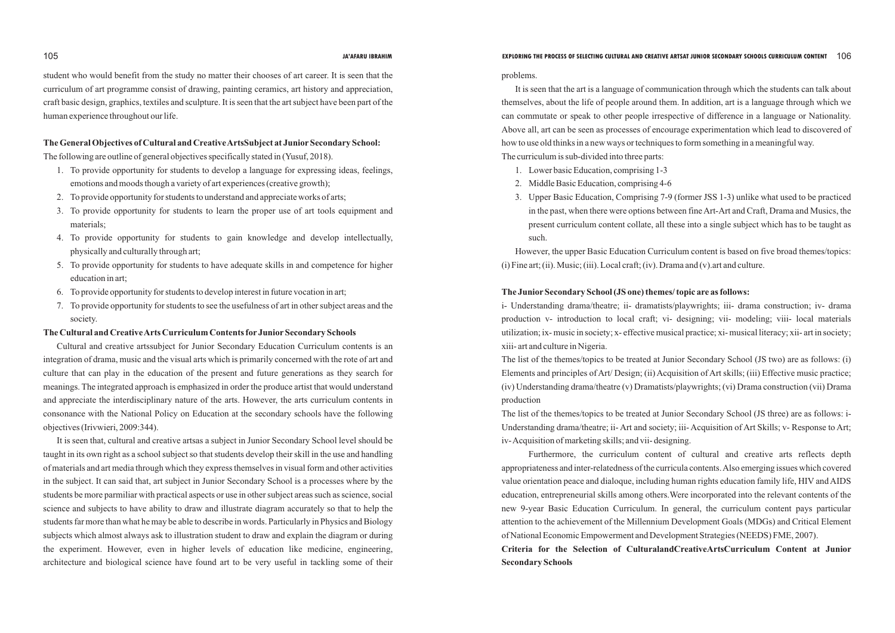student who would benefit from the study no matter their chooses of art career. It is seen that the curriculum of art programme consist of drawing, painting ceramics, art history and appreciation, craft basic design, graphics, textiles and sculpture. It is seen that the art subject have been part of the human experience throughout our life.

### The General Objectives of Cultural and Creative ArtsSubject at Junior Secondary School:

The following are outline of general objectives specifically stated in (Yusuf, 2018).

- 1. To provide opportunity for students to develop a language for expressing ideas, feelings, emotions and moods though a variety of art experiences (creative growth);
- 2. To provide opportunity for students to understand and appreciate works of arts;
- 3. To provide opportunity for students to learn the proper use of art tools equipment and materials;
- 4. To provide opportunity for students to gain knowledge and develop intellectually, physically and culturally through art;
- 5. To provide opportunity for students to have adequate skills in and competence for higher education in art;
- 6. To provide opportunity for students to develop interest in future vocation in art;
- 7. To provide opportunity for students to see the usefulness of art in other subject areas and the society.

### **The Cultural and Creative Arts Curriculum Contents for Junior Secondary Schools**

Cultural and creative artssubject for Junior Secondary Education Curriculum contents is an integration of drama, music and the visual arts which is primarily concerned with the rote of art and culture that can play in the education of the present and future generations as they search for meanings. The integrated approach is emphasized in order the produce artist that would understand and appreciate the interdisciplinary nature of the arts. However, the arts curriculum contents in consonance with the National Policy on Education at the secondary schools have the following objectives (Irivwieri, 2009:344).

However, the upper Basic Education Curriculum content is based on five broad themes/topics: (i) Fine art; (ii). Music; (iii). Local craft; (iv). Drama and (v). art and culture.

# The Junior Secondary School (JS one) themes/ topic are as follows:

It is seen that, cultural and creative artsas a subject in Junior Secondary School level should be taught in its own right as a school subject so that students develop their skill in the use and handling of materials and art media through which they express themselves in visual form and other activities in the subject. It can said that, art subject in Junior Secondary School is a processes where by the students be more parmiliar with practical aspects or use in other subject areas such as science, social science and subjects to have ability to draw and illustrate diagram accurately so that to help the students far more than what he may be able to describe in words. Particularly in Physics and Biology subjects which almost always ask to illustration student to draw and explain the diagram or during the experiment. However, even in higher levels of education like medicine, engineering, architecture and biological science have found art to be very useful in tackling some of their

problems.

It is seen that the art is a language of communication through which the students can talk about themselves, about the life of people around them. In addition, art is a language through which we can commutate or speak to other people irrespective of difference in a language or Nationality. Above all, art can be seen as processes of encourage experimentation which lead to discovered of how to use old thinks in a new ways or techniques to form something in a meaningful way. The curriculum is sub-divided into three parts:

- 1. Lower basic Education, comprising 1-3
- 2. Middle Basic Education, comprising 4-6
- such.

3. Upper Basic Education, Comprising 7-9 (former JSS 1-3) unlike what used to be practiced in the past, when there were options between fine Art-Art and Craft, Drama and Musics, the present curriculum content collate, all these into a single subject which has to be taught as

i- Understanding drama/theatre; ii- dramatists/playwrights; iii- drama construction; iv- drama production v- introduction to local craft; vi- designing; vii- modeling; viii- local materials utilization; ix- music in society; x- effective musical practice; xi- musical literacy; xii- art in society; xiii- art and culture in Nigeria.

The list of the themes/topics to be treated at Junior Secondary School (JS two) are as follows: (i) Elements and principles of Art/ Design; (ii) Acquisition of Art skills; (iii) Effective music practice; (iv) Understanding drama/theatre (v) Dramatists/playwrights; (vi) Drama construction (vii) Drama production

The list of the themes/topics to be treated at Junior Secondary School (JS three) are as follows: i-Understanding drama/theatre; ii- Art and society; iii- Acquisition of Art Skills; v- Response to Art; iv- Acquisition of marketing skills; and vii- designing.

Furthermore, the curriculum content of cultural and creative arts reflects depth appropriateness and inter-relatedness of the curricula contents. Also emerging issues which covered value orientation peace and dialoque, including human rights education family life, HIV and AIDS education, entrepreneurial skills among others.Were incorporated into the relevant contents of the new 9-year Basic Education Curriculum. In general, the curriculum content pays particular attention to the achievement of the Millennium Development Goals (MDGs) and Critical Element of National Economic Empowerment and Development Strategies (NEEDS) FME, 2007). **Criteria for the Selection of CulturalandCreativeArtsCurriculum Content at Junior Secondary Schools**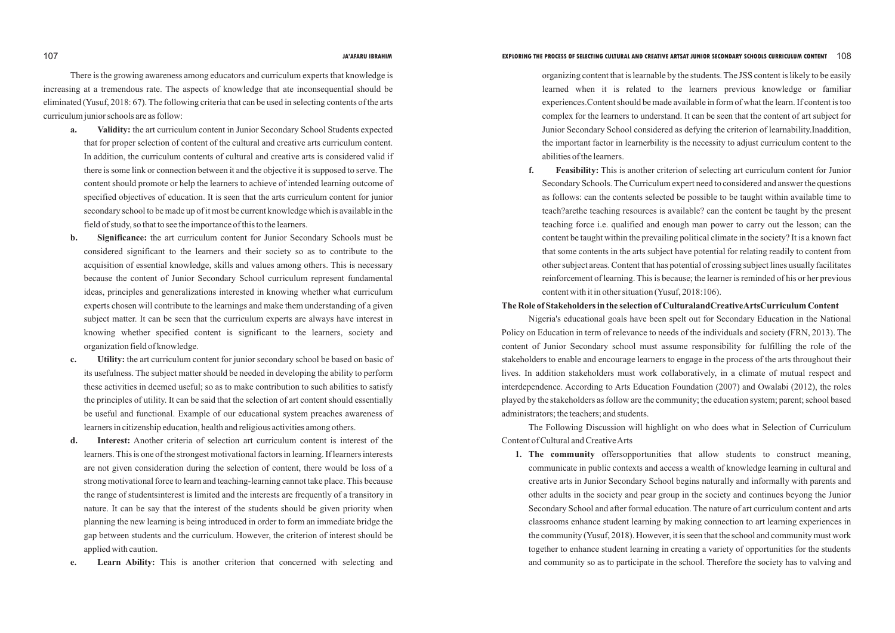There is the growing awareness among educators and curriculum experts that knowledge is increasing at a tremendous rate. The aspects of knowledge that ate inconsequential should be eliminated (Yusuf, 2018: 67). The following criteria that can be used in selecting contents of the arts curriculum junior schools are as follow:

- **a. Validity:** the art curriculum content in Junior Secondary School Students expected that for proper selection of content of the cultural and creative arts curriculum content. In addition, the curriculum contents of cultural and creative arts is considered valid if there is some link or connection between it and the objective it is supposed to serve. The content should promote or help the learners to achieve of intended learning outcome of specified objectives of education. It is seen that the arts curriculum content for junior secondary school to be made up of it most be current knowledge which is available in the field of study, so that to see the importance of this to the learners.
- **b. Significance:** the art curriculum content for Junior Secondary Schools must be considered significant to the learners and their society so as to contribute to the acquisition of essential knowledge, skills and values among others. This is necessary because the content of Junior Secondary School curriculum represent fundamental ideas, principles and generalizations interested in knowing whether what curriculum experts chosen will contribute to the learnings and make them understanding of a given subject matter. It can be seen that the curriculum experts are always have interest in knowing whether specified content is significant to the learners, society and organization field of knowledge.
- **c. Utility:** the art curriculum content for junior secondary school be based on basic of its usefulness. The subject matter should be needed in developing the ability to perform these activities in deemed useful; so as to make contribution to such abilities to satisfy the principles of utility. It can be said that the selection of art content should essentially be useful and functional. Example of our educational system preaches awareness of learners in citizenship education, health and religious activities among others.
- **d. Interest:** Another criteria of selection art curriculum content is interest of the learners. This is one of the strongest motivational factors in learning. If learners interests are not given consideration during the selection of content, there would be loss of a strong motivational force to learn and teaching-learning cannot take place. This because the range of studentsinterest is limited and the interests are frequently of a transitory in nature. It can be say that the interest of the students should be given priority when planning the new learning is being introduced in order to form an immediate bridge the gap between students and the curriculum. However, the criterion of interest should be applied with caution.
- **e. Learn Ability:** This is another criterion that concerned with selecting and

organizing content that is learnable by the students. The JSS content is likely to be easily learned when it is related to the learners previous knowledge or familiar experiences.Content should be made available in form of what the learn. If content is too complex for the learners to understand. It can be seen that the content of art subject for Junior Secondary School considered as defying the criterion of learnability.Inaddition, the important factor in learnerbility is the necessity to adjust curriculum content to the abilities of the learners.

**f. Feasibility:** This is another criterion of selecting art curriculum content for Junior Secondary Schools. The Curriculum expert need to considered and answer the questions as follows: can the contents selected be possible to be taught within available time to teach?arethe teaching resources is available? can the content be taught by the present teaching force i.e. qualified and enough man power to carry out the lesson; can the content be taught within the prevailing political climate in the society? It is a known fact that some contents in the arts subject have potential for relating readily to content from other subject areas. Content that has potential of crossing subject lines usually facilitates reinforcement of learning. This is because; the learner is reminded of his or her previous

content with it in other situation (Yusuf, 2018:106).

# **The Role of Stakeholders in the selection of CulturalandCreativeArtsCurriculum Content**

Nigeria's educational goals have been spelt out for Secondary Education in the National Policy on Education in term of relevance to needs of the individuals and society (FRN, 2013). The content of Junior Secondary school must assume responsibility for fulfilling the role of the stakeholders to enable and encourage learners to engage in the process of the arts throughout their lives. In addition stakeholders must work collaboratively, in a climate of mutual respect and interdependence. According to Arts Education Foundation (2007) and Owalabi (2012), the roles played by the stakeholders as follow are the community; the education system; parent; school based administrators; the teachers; and students.

The Following Discussion will highlight on who does what in Selection of Curriculum Content of Cultural and Creative Arts

**1. The community** offersopportunities that allow students to construct meaning, communicate in public contexts and access a wealth of knowledge learning in cultural and creative arts in Junior Secondary School begins naturally and informally with parents and other adults in the society and pear group in the society and continues beyong the Junior Secondary School and after formal education. The nature of art curriculum content and arts classrooms enhance student learning by making connection to art learning experiences in the community (Yusuf, 2018). However, it is seen that the school and community must work together to enhance student learning in creating a variety of opportunities for the students and community so as to participate in the school. Therefore the society has to valving and

### 107 **JA'AFARU IBRAHIM EXPLORING THE PROCESS OF SELECTING CULTURAL AND CREATIVE ARTSAT JUNIOR SECONDARY SCHOOLS CURRICULUM CONTENT** 108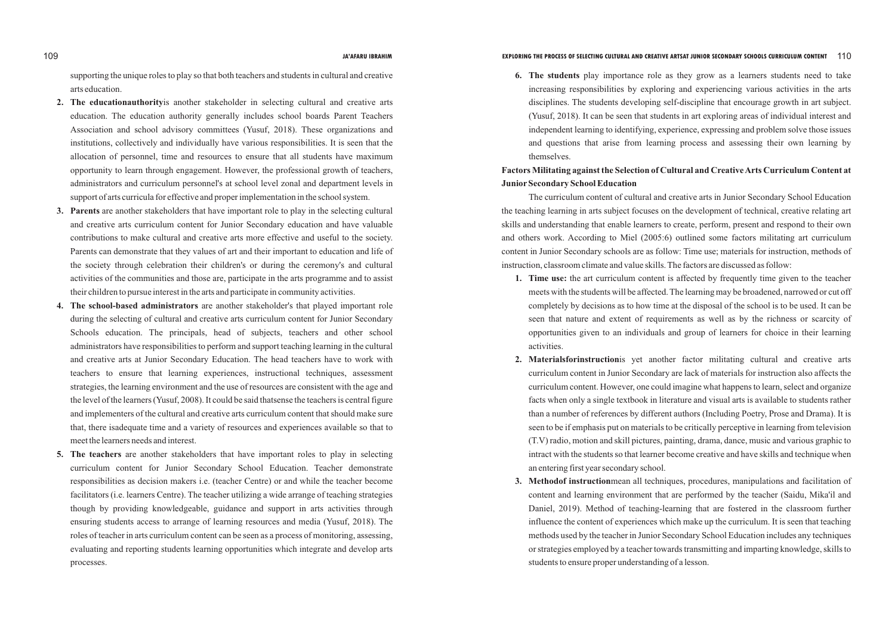supporting the unique roles to play so that both teachers and students in cultural and creative arts education.

- **2. The educationauthority**is another stakeholder in selecting cultural and creative arts education. The education authority generally includes school boards Parent Teachers Association and school advisory committees (Yusuf, 2018). These organizations and institutions, collectively and individually have various responsibilities. It is seen that the allocation of personnel, time and resources to ensure that all students have maximum opportunity to learn through engagement. However, the professional growth of teachers, administrators and curriculum personnel's at school level zonal and department levels in support of arts curricula for effective and proper implementation in the school system.
- **3. Parents** are another stakeholders that have important role to play in the selecting cultural and creative arts curriculum content for Junior Secondary education and have valuable contributions to make cultural and creative arts more effective and useful to the society. Parents can demonstrate that they values of art and their important to education and life of the society through celebration their children's or during the ceremony's and cultural activities of the communities and those are, participate in the arts programme and to assist their children to pursue interest in the arts and participate in community activities.
- **4. The school-based administrators** are another stakeholder's that played important role during the selecting of cultural and creative arts curriculum content for Junior Secondary Schools education. The principals, head of subjects, teachers and other school administrators have responsibilities to perform and support teaching learning in the cultural and creative arts at Junior Secondary Education. The head teachers have to work with teachers to ensure that learning experiences, instructional techniques, assessment strategies, the learning environment and the use of resources are consistent with the age and the level of the learners (Yusuf, 2008). It could be said thatsense the teachers is central figure and implementers of the cultural and creative arts curriculum content that should make sure that, there isadequate time and a variety of resources and experiences available so that to meet the learners needs and interest.
- **5. The teachers** are another stakeholders that have important roles to play in selecting curriculum content for Junior Secondary School Education. Teacher demonstrate responsibilities as decision makers i.e. (teacher Centre) or and while the teacher become facilitators (i.e. learners Centre). The teacher utilizing a wide arrange of teaching strategies though by providing knowledgeable, guidance and support in arts activities through ensuring students access to arrange of learning resources and media (Yusuf, 2018). The roles of teacher in arts curriculum content can be seen as a process of monitoring, assessing, evaluating and reporting students learning opportunities which integrate and develop arts processes.

**6. The students** play importance role as they grow as a learners students need to take increasing responsibilities by exploring and experiencing various activities in the arts disciplines. The students developing self-discipline that encourage growth in art subject. (Yusuf, 2018). It can be seen that students in art exploring areas of individual interest and independent learning to identifying, experience, expressing and problem solve those issues

and questions that arise from learning process and assessing their own learning by themselves.

# **Factors Militating against the Selection of Cultural and Creative Arts Curriculum Content at JuniorSecondary School Education**

The curriculum content of cultural and creative arts in Junior Secondary School Education the teaching learning in arts subject focuses on the development of technical, creative relating art skills and understanding that enable learners to create, perform, present and respond to their own and others work. According to Miel (2005:6) outlined some factors militating art curriculum content in Junior Secondary schools are as follow: Time use; materials for instruction, methods of instruction, classroom climate and value skills. The factors are discussed as follow:

**1. Time use:** the art curriculum content is affected by frequently time given to the teacher meets with the students will be affected. The learning may be broadened, narrowed or cut off completely by decisions as to how time at the disposal of the school is to be used. It can be seen that nature and extent of requirements as well as by the richness or scarcity of opportunities given to an individuals and group of learners for choice in their learning

**2. Materialsforinstruction**is yet another factor militating cultural and creative arts curriculum content in Junior Secondary are lack of materials for instruction also affects the curriculum content. However, one could imagine what happens to learn, select and organize facts when only a single textbook in literature and visual arts is available to students rather than a number of references by different authors (Including Poetry, Prose and Drama). It is seen to be if emphasis put on materials to be critically perceptive in learning from television (T.V) radio, motion and skill pictures, painting, drama, dance, music and various graphic to intract with the students so that learner become creative and have skills and technique when

- activities.
- an entering first year secondary school.
- students to ensure proper understanding of a lesson.

**3. Methodof instruction**mean all techniques, procedures, manipulations and facilitation of content and learning environment that are performed by the teacher (Saidu, Mika'il and Daniel, 2019). Method of teaching-learning that are fostered in the classroom further influence the content of experiences which make up the curriculum. It is seen that teaching methods used by the teacher in Junior Secondary School Education includes any techniques or strategies employed by a teacher towards transmitting and imparting knowledge, skills to

### 109 **JA'AFARU IBRAHIM EXPLORING THE PROCESS OF SELECTING CULTURAL AND CREATIVE ARTSAT JUNIOR SECONDARY SCHOOLS CURRICULUM CONTENT** 110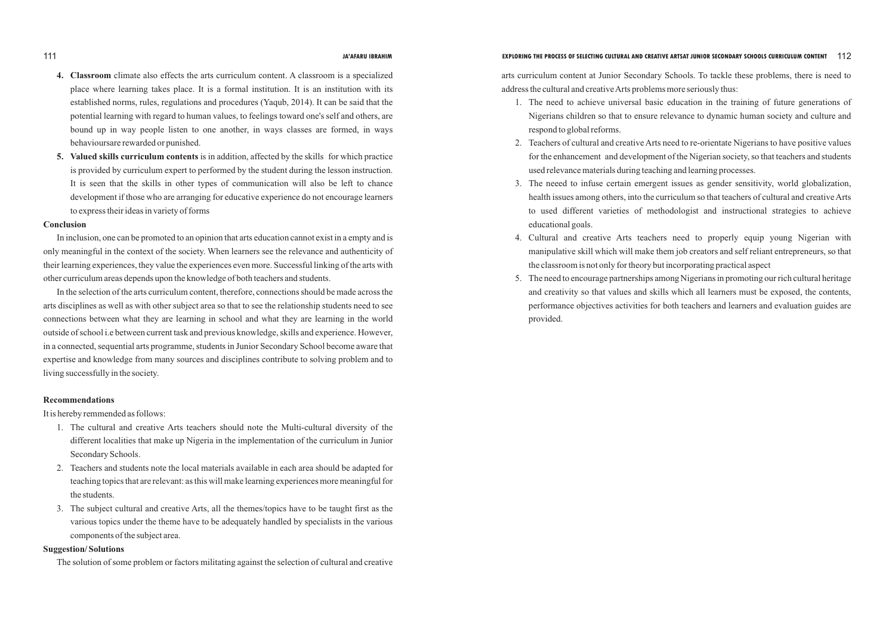- **4. Classroom** climate also effects the arts curriculum content. A classroom is a specialized place where learning takes place. It is a formal institution. It is an institution with its established norms, rules, regulations and procedures (Yaqub, 2014). It can be said that the potential learning with regard to human values, to feelings toward one's self and others, are bound up in way people listen to one another, in ways classes are formed, in ways behavioursare rewarded or punished.
- **5. Valued skills curriculum contents** is in addition, affected by the skills for which practice is provided by curriculum expert to performed by the student during the lesson instruction. It is seen that the skills in other types of communication will also be left to chance development if those who are arranging for educative experience do not encourage learners to express their ideas in variety of forms

#### **Conclusion**

In inclusion, one can be promoted to an opinion that arts education cannot exist in a empty and is only meaningful in the context of the society. When learners see the relevance and authenticity of their learning experiences, they value the experiences even more. Successful linking of the arts with other curriculum areas depends upon the knowledge of both teachers and students.

In the selection of the arts curriculum content, therefore, connections should be made across the arts disciplines as well as with other subject area so that to see the relationship students need to see connections between what they are learning in school and what they are learning in the world outside of school i.e between current task and previous knowledge, skills and experience. However, in a connected, sequential arts programme, students in Junior Secondary School become aware that expertise and knowledge from many sources and disciplines contribute to solving problem and to living successfully in the society.

### **Recommendations**

It is hereby remmended as follows:

- 1. The cultural and creative Arts teachers should note the Multi-cultural diversity of the different localities that make up Nigeria in the implementation of the curriculum in Junior Secondary Schools.
- 2. Teachers and students note the local materials available in each area should be adapted for teaching topics that are relevant: as this will make learning experiences more meaningful for the students.
- 3. The subject cultural and creative Arts, all the themes/topics have to be taught first as the various topics under the theme have to be adequately handled by specialists in the various components of the subject area.

### **Suggestion/ Solutions**

The solution of some problem or factors militating against the selection of cultural and creative

arts curriculum content at Junior Secondary Schools. To tackle these problems, there is need to address the cultural and creative Arts problems more seriously thus:

1. The need to achieve universal basic education in the training of future generations of Nigerians children so that to ensure relevance to dynamic human society and culture and

2. Teachers of cultural and creative Arts need to re-orientate Nigerians to have positive values for the enhancement and development of the Nigerian society, so that teachers and students

3. The neeed to infuse certain emergent issues as gender sensitivity, world globalization, health issues among others, into the curriculum so that teachers of cultural and creative Arts to used different varieties of methodologist and instructional strategies to achieve

- respond to global reforms.
- used relevance materials during teaching and learning processes.
- educational goals.
- the classroom is not only for theory but incorporating practical aspect
- provided.

4. Cultural and creative Arts teachers need to properly equip young Nigerian with manipulative skill which will make them job creators and self reliant entrepreneurs, so that

5. The need to encourage partnerships among Nigerians in promoting our rich cultural heritage and creativity so that values and skills which all learners must be exposed, the contents, performance objectives activities for both teachers and learners and evaluation guides are

# 111 **JA'AFARU IBRAHIM EXPLORING THE PROCESS OF SELECTING CULTURAL AND CREATIVE ARTSAT JUNIOR SECONDARY SCHOOLS CURRICULUM CONTENT** 112